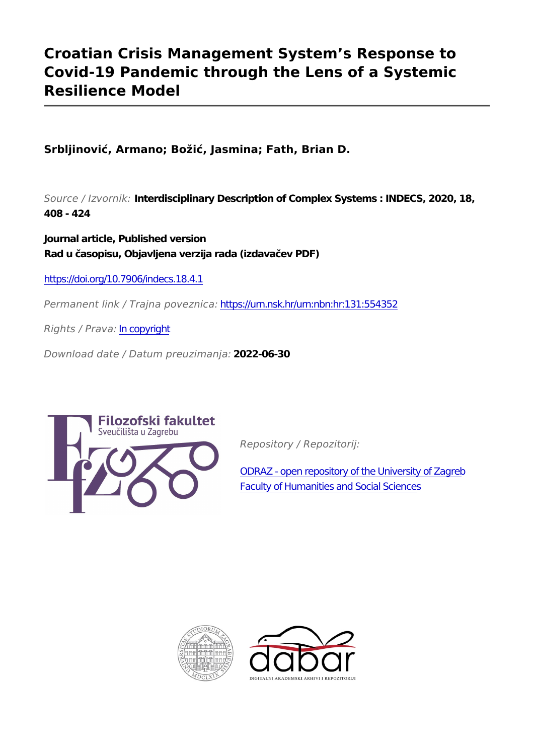# **Croatian Crisis Management System's Response to Covid-19 Pandemic through the Lens of a Systemic Resilience Model**

**Srbljinović, Armano; Božić, Jasmina; Fath, Brian D.**

*Source / Izvornik:* **Interdisciplinary Description of Complex Systems : INDECS, 2020, 18, 408 - 424**

**Journal article, Published version Rad u časopisu, Objavljena verzija rada (izdavačev PDF)**

<https://doi.org/10.7906/indecs.18.4.1>

*Permanent link / Trajna poveznica:* <https://urn.nsk.hr/urn:nbn:hr:131:554352>

*Rights / Prava:* [In copyright](http://rightsstatements.org/vocab/InC/1.0/)

*Download date / Datum preuzimanja:* **2022-06-30**



*Repository / Repozitorij:*

[ODRAZ - open repository of the University of Zagreb](https://repozitorij.ffzg.unizg.hr) [Faculty of Humanities and Social Sciences](https://repozitorij.ffzg.unizg.hr)



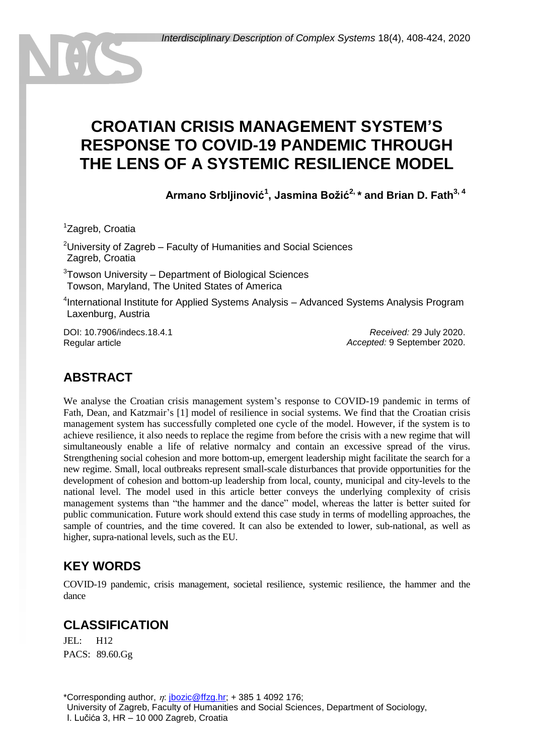# **CROATIAN CRISIS MANAGEMENT SYSTEM'S RESPONSE TO COVID-19 PANDEMIC THROUGH THE LENS OF A SYSTEMIC RESILIENCE MODEL**

**Armano Srbljinović<sup>1</sup> , Jasmina Božić2, \* and Brian D. Fath3, 4**

<sup>1</sup>Zagreb, Croatia

<sup>2</sup> University of Zagreb – Faculty of Humanities and Social Sciences <sup>2</sup>Zagreb, Croatia

<sup>3</sup>Towson University – Department of Biological Sciences Towson, Maryland, The United States of America

4 International Institute for Applied Systems Analysis – Advanced Systems Analysis Program Laxenburg, Austria

DOI: 10.7906/indecs.18.4.1 Regular article

*Received:* 29 July 2020. *Accepted:* 9 September 2020.

# **ABSTRACT**

We analyse the Croatian crisis management system's response to COVID-19 pandemic in terms of Fath, Dean, and Katzmair's [1] model of resilience in social systems. We find that the Croatian crisis management system has successfully completed one cycle of the model. However, if the system is to achieve resilience, it also needs to replace the regime from before the crisis with a new regime that will simultaneously enable a life of relative normalcy and contain an excessive spread of the virus. Strengthening social cohesion and more bottom-up, emergent leadership might facilitate the search for a new regime. Small, local outbreaks represent small**-**scale disturbances that provide opportunities for the development of cohesion and bottom-up leadership from local, county, municipal and city**-**levels to the national level. The model used in this article better conveys the underlying complexity of crisis management systems than "the hammer and the dance" model, whereas the latter is better suited for public communication. Future work should extend this case study in terms of modelling approaches, the sample of countries, and the time covered. It can also be extended to lower, sub-national, as well as higher, supra-national levels, such as the EU.

### **KEY WORDS**

COVID-19 pandemic, crisis management, societal resilience, systemic resilience, the hammer and the dance

### **CLASSIFICATION**

JEL: H12 PACS: 89.60.Gg

\*Corresponding author,  $\eta$ : [jbozic@ffzg.hr;](mailto:jbozic@ffzg.hr) + 385 1 4092 176; University of Zagreb, Faculty of Humanities and Social Sciences, Department of Sociology, I. Lučića 3, HR – 10 000 Zagreb, Croatia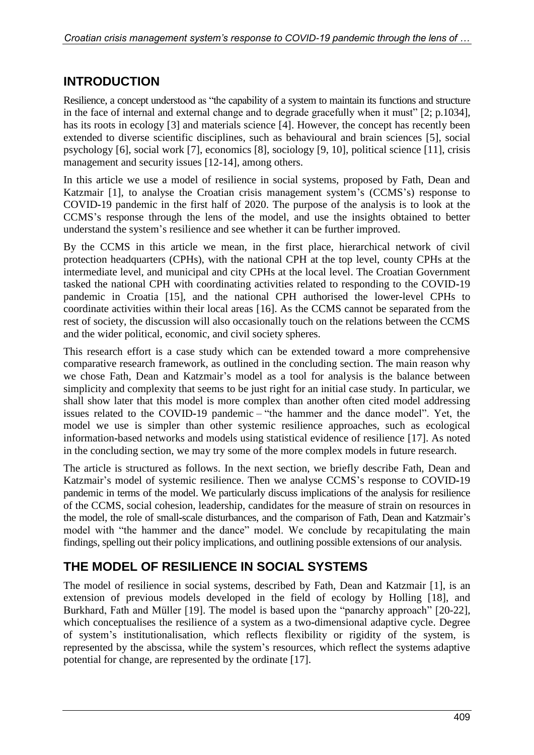## **INTRODUCTION**

Resilience, a concept understood as "the capability of a system to maintain its functions and structure in the face of internal and external change and to degrade gracefully when it must" [2; p.1034], has its roots in ecology [3] and materials science [4]. However, the concept has recently been extended to diverse scientific disciplines, such as behavioural and brain sciences [5], social psychology [6], social work [7], economics [8], sociology [9, 10], political science [11], crisis management and security issues [12-14], among others.

In this article we use a model of resilience in social systems, proposed by Fath, Dean and Katzmair [1], to analyse the Croatian crisis management system's (CCMS's) response to COVID**-**19 pandemic in the first half of 2020. The purpose of the analysis is to look at the CCMS's response through the lens of the model, and use the insights obtained to better understand the system's resilience and see whether it can be further improved.

By the CCMS in this article we mean, in the first place, hierarchical network of civil protection headquarters (CPHs), with the national CPH at the top level, county CPHs at the intermediate level, and municipal and city CPHs at the local level. The Croatian Government tasked the national CPH with coordinating activities related to responding to the COVID**-**19 pandemic in Croatia [15], and the national CPH authorised the lower**-**level CPHs to coordinate activities within their local areas [16]. As the CCMS cannot be separated from the rest of society, the discussion will also occasionally touch on the relations between the CCMS and the wider political, economic, and civil society spheres.

This research effort is a case study which can be extended toward a more comprehensive comparative research framework, as outlined in the concluding section. The main reason why we chose Fath, Dean and Katzmair's model as a tool for analysis is the balance between simplicity and complexity that seems to be just right for an initial case study. In particular, we shall show later that this model is more complex than another often cited model addressing issues related to the COVID**-**19 pandemic – "the hammer and the dance model". Yet, the model we use is simpler than other systemic resilience approaches, such as ecological information**-**based networks and models using statistical evidence of resilience [17]. As noted in the concluding section, we may try some of the more complex models in future research.

The article is structured as follows. In the next section, we briefly describe Fath, Dean and Katzmair's model of systemic resilience. Then we analyse CCMS's response to COVID**-**19 pandemic in terms of the model. We particularly discuss implications of the analysis for resilience of the CCMS, social cohesion, leadership, candidates for the measure of strain on resources in the model, the role of small**-**scale disturbances, and the comparison of Fath, Dean and Katzmair's model with "the hammer and the dance" model. We conclude by recapitulating the main findings, spelling out their policy implications, and outlining possible extensions of our analysis.

# **THE MODEL OF RESILIENCE IN SOCIAL SYSTEMS**

The model of resilience in social systems, described by Fath, Dean and Katzmair [1], is an extension of previous models developed in the field of ecology by Holling [18], and Burkhard, Fath and Müller [19]. The model is based upon the "panarchy approach" [20-22], which conceptualises the resilience of a system as a two**-**dimensional adaptive cycle. Degree of system's institutionalisation, which reflects flexibility or rigidity of the system, is represented by the abscissa, while the system's resources, which reflect the systems adaptive potential for change, are represented by the ordinate [17].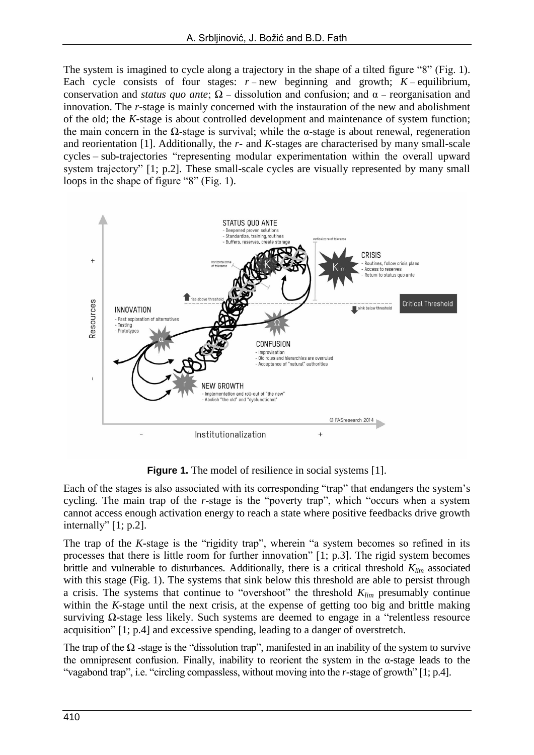The system is imagined to cycle along a trajectory in the shape of a tilted figure "8" (Fig. 1). Each cycle consists of four stages:  $r$  – new beginning and growth;  $K$  – equilibrium, conservation and *status quo ante*; Ω – dissolution and confusion; and α – reorganisation and innovation. The *r-*stage is mainly concerned with the instauration of the new and abolishment of the old; the *K***-**stage is about controlled development and maintenance of system function; the main concern in the Ω**-**stage is survival; while the α**-**stage is about renewal, regeneration and reorientation [1]. Additionally, the *r***-** and *K-*stages are characterised by many small**-**scale cycles – sub**-**trajectories "representing modular experimentation within the overall upward system trajectory" [1; p.2]. These small**-**scale cycles are visually represented by many small loops in the shape of figure "8" (Fig. 1).



**Figure 1.** The model of resilience in social systems [1].

Each of the stages is also associated with its corresponding "trap" that endangers the system's cycling. The main trap of the *r***-**stage is the "poverty trap", which "occurs when a system cannot access enough activation energy to reach a state where positive feedbacks drive growth internally" [1; p.2].

The trap of the *K***-**stage is the "rigidity trap", wherein "a system becomes so refined in its processes that there is little room for further innovation" [1; p.3]. The rigid system becomes brittle and vulnerable to disturbances. Additionally, there is a critical threshold *Klim* associated with this stage (Fig. 1). The systems that sink below this threshold are able to persist through a crisis. The systems that continue to "overshoot" the threshold *Klim* presumably continue within the *K-*stage until the next crisis, at the expense of getting too big and brittle making surviving Ω**-**stage less likely. Such systems are deemed to engage in a "relentless resource acquisition" [1; p.4] and excessive spending, leading to a danger of overstretch.

The trap of the Ω **-**stage is the "dissolution trap", manifested in an inability of the system to survive the omnipresent confusion. Finally, inability to reorient the system in the α**-**stage leads to the "vagabond trap", i.e. "circling compassless, without moving into the *r-*stage of growth" [1; p.4].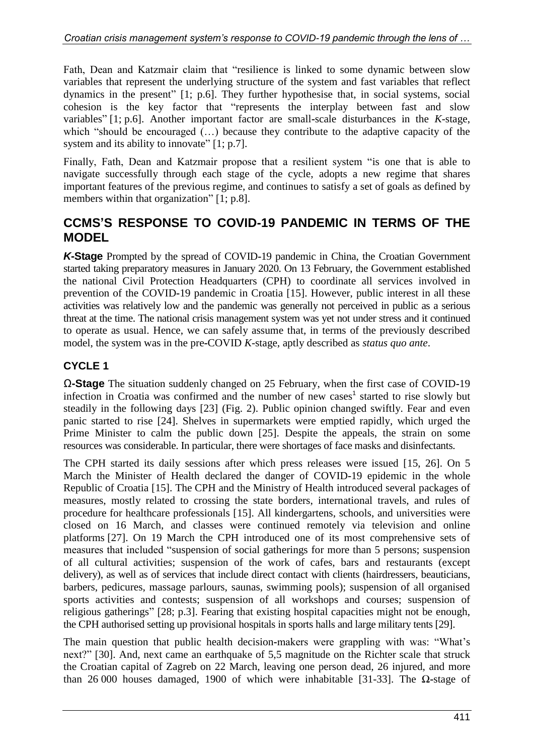Fath, Dean and Katzmair claim that "resilience is linked to some dynamic between slow variables that represent the underlying structure of the system and fast variables that reflect dynamics in the present" [1; p.6]. They further hypothesise that, in social systems, social cohesion is the key factor that "represents the interplay between fast and slow variables" [1; p.6]. Another important factor are small**-**scale disturbances in the *K-*stage, which "should be encouraged (…) because they contribute to the adaptive capacity of the system and its ability to innovate" [1; p.7].

Finally, Fath, Dean and Katzmair propose that a resilient system "is one that is able to navigate successfully through each stage of the cycle, adopts a new regime that shares important features of the previous regime, and continues to satisfy a set of goals as defined by members within that organization" [1; p.8].

### **CCMS'S RESPONSE TO COVID-19 PANDEMIC IN TERMS OF THE MODEL**

*K***-Stage** Prompted by the spread of COVID**-**19 pandemic in China, the Croatian Government started taking preparatory measures in January 2020. On 13 February, the Government established the national Civil Protection Headquarters (CPH) to coordinate all services involved in prevention of the COVID**-**19 pandemic in Croatia [15]. However, public interest in all these activities was relatively low and the pandemic was generally not perceived in public as a serious threat at the time. The national crisis management system was yet not under stress and it continued to operate as usual. Hence, we can safely assume that, in terms of the previously described model, the system was in the pre**-**COVID *K-*stage, aptly described as *status quo ante*.

#### **CYCLE 1**

Ω**-Stage** The situation suddenly changed on 25 February, when the first case of COVID**-**19 infection in Croatia was confirmed and the number of new cases<sup>1</sup> started to rise slowly but steadily in the following days [23] (Fig. 2). Public opinion changed swiftly. Fear and even panic started to rise [24]. Shelves in supermarkets were emptied rapidly, which urged the Prime Minister to calm the public down [25]. Despite the appeals, the strain on some resources was considerable. In particular, there were shortages of face masks and disinfectants.

The CPH started its daily sessions after which press releases were issued [15, 26]. On 5 March the Minister of Health declared the danger of COVID**-**19 epidemic in the whole Republic of Croatia [15]. The CPH and the Ministry of Health introduced several packages of measures, mostly related to crossing the state borders, international travels, and rules of procedure for healthcare professionals [15]. All kindergartens, schools, and universities were closed on 16 March, and classes were continued remotely via television and online platforms [27]. On 19 March the CPH introduced one of its most comprehensive sets of measures that included "suspension of social gatherings for more than 5 persons; suspension of all cultural activities; suspension of the work of cafes, bars and restaurants (except delivery), as well as of services that include direct contact with clients (hairdressers, beauticians, barbers, pedicures, massage parlours, saunas, swimming pools); suspension of all organised sports activities and contests; suspension of all workshops and courses; suspension of religious gatherings" [28; p.3]. Fearing that existing hospital capacities might not be enough, the CPH authorised setting up provisional hospitals in sports halls and large military tents [29].

The main question that public health decision**-**makers were grappling with was: "What's next?" [30]. And, next came an earthquake of 5,5 magnitude on the Richter scale that struck the Croatian capital of Zagreb on 22 March, leaving one person dead, 26 injured, and more than 26 000 houses damaged, 1900 of which were inhabitable [31-33]. The Ω**-**stage of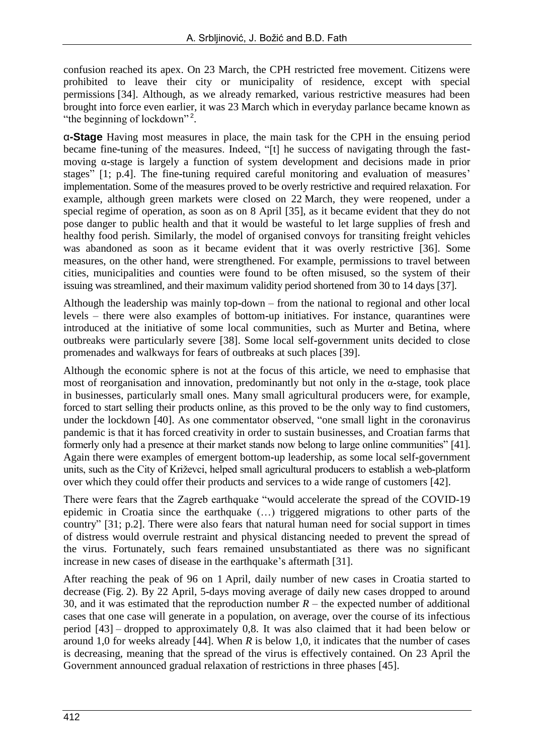confusion reached its apex. On 23 March, the CPH restricted free movement. Citizens were prohibited to leave their city or municipality of residence, except with special permissions [34]. Although, as we already remarked, various restrictive measures had been brought into force even earlier, it was 23 March which in everyday parlance became known as "the beginning of lockdown"<sup>2</sup>.

α**-Stage** Having most measures in place, the main task for the CPH in the ensuing period became fine**-**tuning of the measures. Indeed, "[t] he success of navigating through the fastmoving α**-**stage is largely a function of system development and decisions made in prior stages" [1; p.4]. The fine**-**tuning required careful monitoring and evaluation of measures' implementation. Some of the measures proved to be overly restrictive and required relaxation. For example, although green markets were closed on 22 March, they were reopened, under a special regime of operation, as soon as on 8 April [35], as it became evident that they do not pose danger to public health and that it would be wasteful to let large supplies of fresh and healthy food perish. Similarly, the model of organised convoys for transiting freight vehicles was abandoned as soon as it became evident that it was overly restrictive [36]. Some measures, on the other hand, were strengthened. For example, permissions to travel between cities, municipalities and counties were found to be often misused, so the system of their issuing was streamlined, and their maximum validity period shortened from 30 to 14 days [37].

Although the leadership was mainly top**-**down – from the national to regional and other local levels – there were also examples of bottom**-**up initiatives. For instance, quarantines were introduced at the initiative of some local communities, such as Murter and Betina, where outbreaks were particularly severe [38]. Some local self**-**government units decided to close promenades and walkways for fears of outbreaks at such places [39].

Although the economic sphere is not at the focus of this article, we need to emphasise that most of reorganisation and innovation, predominantly but not only in the α**-**stage, took place in businesses, particularly small ones. Many small agricultural producers were, for example, forced to start selling their products online, as this proved to be the only way to find customers, under the lockdown [40]. As one commentator observed, "one small light in the coronavirus pandemic is that it has forced creativity in order to sustain businesses, and Croatian farms that formerly only had a presence at their market stands now belong to large online communities" [41]. Again there were examples of emergent bottom**-**up leadership, as some local self**-**government units, such as the City of Križevci, helped small agricultural producers to establish a web**-**platform over which they could offer their products and services to a wide range of customers [42].

There were fears that the Zagreb earthquake "would accelerate the spread of the COVID-19 epidemic in Croatia since the earthquake (…) triggered migrations to other parts of the country" [31; p.2]. There were also fears that natural human need for social support in times of distress would overrule restraint and physical distancing needed to prevent the spread of the virus. Fortunately, such fears remained unsubstantiated as there was no significant increase in new cases of disease in the earthquake's aftermath [31].

After reaching the peak of 96 on 1 April, daily number of new cases in Croatia started to decrease (Fig. 2). By 22 April, 5**-**days moving average of daily new cases dropped to around 30, and it was estimated that the reproduction number  $R$  – the expected number of additional cases that one case will generate in a population, on average, over the course of its infectious period [43] – dropped to approximately 0,8. It was also claimed that it had been below or around 1,0 for weeks already [44]. When *R* is below 1,0, it indicates that the number of cases is decreasing, meaning that the spread of the virus is effectively contained. On 23 April the Government announced gradual relaxation of restrictions in three phases [45].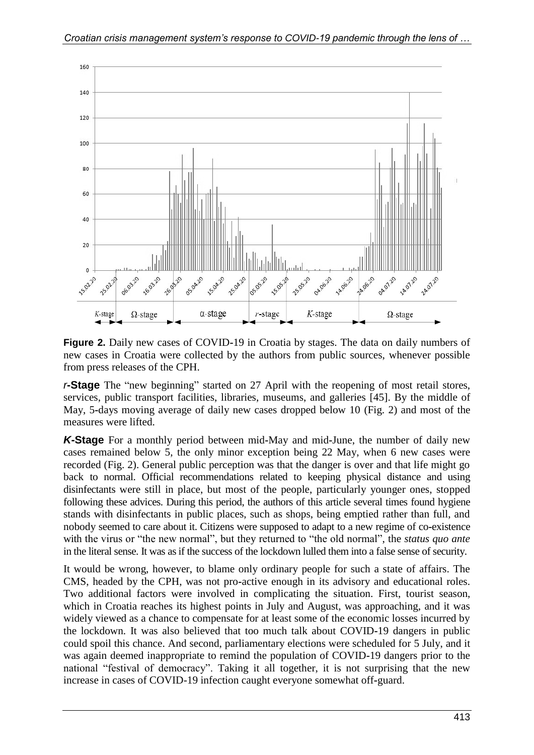

**Figure 2.** Daily new cases of COVID**-**19 in Croatia by stages. The data on daily numbers of new cases in Croatia were collected by the authors from public sources, whenever possible from press releases of the CPH.

*r***-Stage** The "new beginning" started on 27 April with the reopening of most retail stores, services, public transport facilities, libraries, museums, and galleries [45]. By the middle of May, 5**-**days moving average of daily new cases dropped below 10 (Fig. 2) and most of the measures were lifted.

*K***-Stage** For a monthly period between mid**-**May and mid**-**June, the number of daily new cases remained below 5, the only minor exception being 22 May, when 6 new cases were recorded (Fig. 2). General public perception was that the danger is over and that life might go back to normal. Official recommendations related to keeping physical distance and using disinfectants were still in place, but most of the people, particularly younger ones, stopped following these advices. During this period, the authors of this article several times found hygiene stands with disinfectants in public places, such as shops, being emptied rather than full, and nobody seemed to care about it. Citizens were supposed to adapt to a new regime of co**-**existence with the virus or "the new normal", but they returned to "the old normal", the *status quo ante*  in the literal sense. It was as if the success of the lockdown lulled them into a false sense of security.

It would be wrong, however, to blame only ordinary people for such a state of affairs. The CMS, headed by the CPH, was not pro**-**active enough in its advisory and educational roles. Two additional factors were involved in complicating the situation. First, tourist season, which in Croatia reaches its highest points in July and August, was approaching, and it was widely viewed as a chance to compensate for at least some of the economic losses incurred by the lockdown. It was also believed that too much talk about COVID**-**19 dangers in public could spoil this chance. And second, parliamentary elections were scheduled for 5 July, and it was again deemed inappropriate to remind the population of COVID**-**19 dangers prior to the national "festival of democracy". Taking it all together, it is not surprising that the new increase in cases of COVID-19 infection caught everyone somewhat off**-**guard.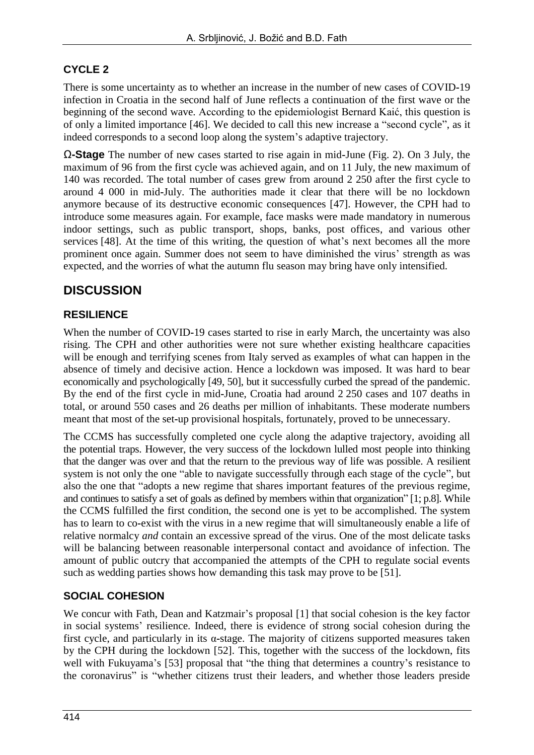### **CYCLE 2**

There is some uncertainty as to whether an increase in the number of new cases of COVID**-**19 infection in Croatia in the second half of June reflects a continuation of the first wave or the beginning of the second wave. According to the epidemiologist Bernard Kaić, this question is of only a limited importance [46]. We decided to call this new increase a "second cycle", as it indeed corresponds to a second loop along the system's adaptive trajectory.

Ω**-Stage** The number of new cases started to rise again in mid**-**June (Fig. 2). On 3 July, the maximum of 96 from the first cycle was achieved again, and on 11 July, the new maximum of 140 was recorded. The total number of cases grew from around 2 250 after the first cycle to around 4 000 in mid**-**July. The authorities made it clear that there will be no lockdown anymore because of its destructive economic consequences [47]. However, the CPH had to introduce some measures again. For example, face masks were made mandatory in numerous indoor settings, such as public transport, shops, banks, post offices, and various other services [48]. At the time of this writing, the question of what's next becomes all the more prominent once again. Summer does not seem to have diminished the virus' strength as was expected, and the worries of what the autumn flu season may bring have only intensified.

### **DISCUSSION**

#### **RESILIENCE**

When the number of COVID**-**19 cases started to rise in early March, the uncertainty was also rising. The CPH and other authorities were not sure whether existing healthcare capacities will be enough and terrifying scenes from Italy served as examples of what can happen in the absence of timely and decisive action. Hence a lockdown was imposed. It was hard to bear economically and psychologically [49, 50], but it successfully curbed the spread of the pandemic. By the end of the first cycle in mid**-**June, Croatia had around 2 250 cases and 107 deaths in total, or around 550 cases and 26 deaths per million of inhabitants. These moderate numbers meant that most of the set**-**up provisional hospitals, fortunately, proved to be unnecessary.

The CCMS has successfully completed one cycle along the adaptive trajectory, avoiding all the potential traps. However, the very success of the lockdown lulled most people into thinking that the danger was over and that the return to the previous way of life was possible. A resilient system is not only the one "able to navigate successfully through each stage of the cycle", but also the one that "adopts a new regime that shares important features of the previous regime, and continues to satisfy a set of goals as defined by members within that organization" [1; p.8]. While the CCMS fulfilled the first condition, the second one is yet to be accomplished. The system has to learn to co**-**exist with the virus in a new regime that will simultaneously enable a life of relative normalcy *and* contain an excessive spread of the virus. One of the most delicate tasks will be balancing between reasonable interpersonal contact and avoidance of infection. The amount of public outcry that accompanied the attempts of the CPH to regulate social events such as wedding parties shows how demanding this task may prove to be [51].

#### **SOCIAL COHESION**

We concur with Fath, Dean and Katzmair's proposal [1] that social cohesion is the key factor in social systems' resilience. Indeed, there is evidence of strong social cohesion during the first cycle, and particularly in its α**-**stage. The majority of citizens supported measures taken by the CPH during the lockdown [52]. This, together with the success of the lockdown, fits well with Fukuyama's [53] proposal that "the thing that determines a country's resistance to the coronavirus" is "whether citizens trust their leaders, and whether those leaders preside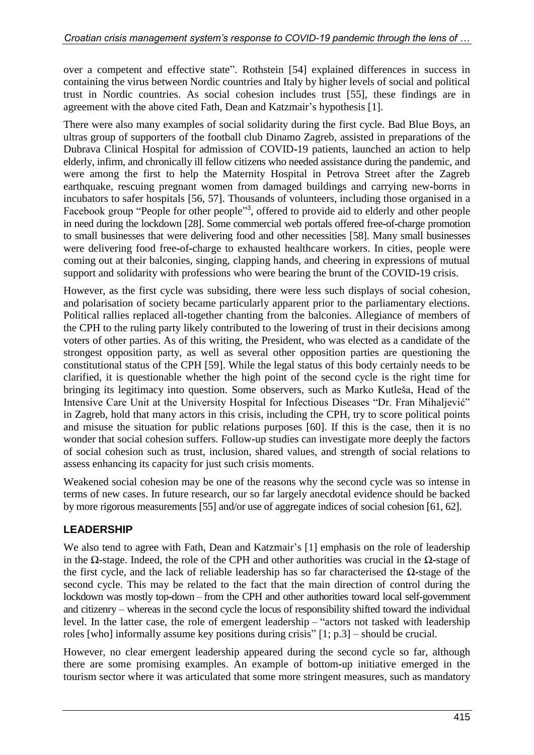over a competent and effective state". Rothstein [54] explained differences in success in containing the virus between Nordic countries and Italy by higher levels of social and political trust in Nordic countries. As social cohesion includes trust [55], these findings are in agreement with the above cited Fath, Dean and Katzmair's hypothesis [1].

There were also many examples of social solidarity during the first cycle. Bad Blue Boys, an ultras group of supporters of the football club Dinamo Zagreb, assisted in preparations of the Dubrava Clinical Hospital for admission of COVID**-**19 patients, launched an action to help elderly, infirm, and chronically ill fellow citizens who needed assistance during the pandemic, and were among the first to help the Maternity Hospital in Petrova Street after the Zagreb earthquake, rescuing pregnant women from damaged buildings and carrying new**-**borns in incubators to safer hospitals [56, 57]. Thousands of volunteers, including those organised in a Facebook group "People for other people"<sup>3</sup>, offered to provide aid to elderly and other people in need during the lockdown [28]. Some commercial web portals offered free**-**of**-**charge promotion to small businesses that were delivering food and other necessities [58]. Many small businesses were delivering food free**-**of**-**charge to exhausted healthcare workers. In cities, people were coming out at their balconies, singing, clapping hands, and cheering in expressions of mutual support and solidarity with professions who were bearing the brunt of the COVID**-**19 crisis.

However, as the first cycle was subsiding, there were less such displays of social cohesion, and polarisation of society became particularly apparent prior to the parliamentary elections. Political rallies replaced all**-**together chanting from the balconies. Allegiance of members of the CPH to the ruling party likely contributed to the lowering of trust in their decisions among voters of other parties. As of this writing, the President, who was elected as a candidate of the strongest opposition party, as well as several other opposition parties are questioning the constitutional status of the CPH [59]. While the legal status of this body certainly needs to be clarified, it is questionable whether the high point of the second cycle is the right time for bringing its legitimacy into question. Some observers, such as Marko Kutleša, Head of the Intensive Care Unit at the University Hospital for Infectious Diseases "Dr. Fran Mihaljević" in Zagreb, hold that many actors in this crisis, including the CPH, try to score political points and misuse the situation for public relations purposes [60]. If this is the case, then it is no wonder that social cohesion suffers. Follow**-**up studies can investigate more deeply the factors of social cohesion such as trust, inclusion, shared values, and strength of social relations to assess enhancing its capacity for just such crisis moments.

Weakened social cohesion may be one of the reasons why the second cycle was so intense in terms of new cases. In future research, our so far largely anecdotal evidence should be backed by more rigorous measurements [55] and/or use of aggregate indices of social cohesion [61, 62].

#### **LEADERSHIP**

We also tend to agree with Fath, Dean and Katzmair's [1] emphasis on the role of leadership in the Ω**-**stage. Indeed, the role of the CPH and other authorities was crucial in the Ω**-**stage of the first cycle, and the lack of reliable leadership has so far characterised the Ω**-**stage of the second cycle. This may be related to the fact that the main direction of control during the lockdown was mostly top**-**down – from the CPH and other authorities toward local self-government and citizenry – whereas in the second cycle the locus of responsibility shifted toward the individual level. In the latter case, the role of emergent leadership – "actors not tasked with leadership roles [who] informally assume key positions during crisis" [1; p.3] – should be crucial.

However, no clear emergent leadership appeared during the second cycle so far, although there are some promising examples. An example of bottom**-**up initiative emerged in the tourism sector where it was articulated that some more stringent measures, such as mandatory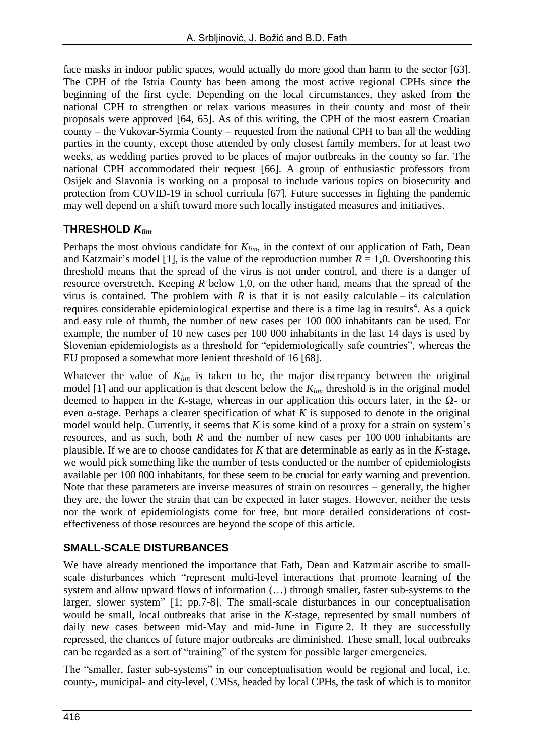face masks in indoor public spaces, would actually do more good than harm to the sector [63]. The CPH of the Istria County has been among the most active regional CPHs since the beginning of the first cycle. Depending on the local circumstances, they asked from the national CPH to strengthen or relax various measures in their county and most of their proposals were approved [64, 65]. As of this writing, the CPH of the most eastern Croatian county – the Vukovar**-**Syrmia County – requested from the national CPH to ban all the wedding parties in the county, except those attended by only closest family members, for at least two weeks, as wedding parties proved to be places of major outbreaks in the county so far. The national CPH accommodated their request [66]. A group of enthusiastic professors from Osijek and Slavonia is working on a proposal to include various topics on biosecurity and protection from COVID**-**19 in school curricula [67]. Future successes in fighting the pandemic may well depend on a shift toward more such locally instigated measures and initiatives.

#### **THRESHOLD** *Klim*

Perhaps the most obvious candidate for *Klim*, in the context of our application of Fath, Dean and Katzmair's model [1], is the value of the reproduction number  $R = 1,0$ . Overshooting this threshold means that the spread of the virus is not under control, and there is a danger of resource overstretch. Keeping *R* below 1,0, on the other hand, means that the spread of the virus is contained. The problem with  $R$  is that it is not easily calculable – its calculation requires considerable epidemiological expertise and there is a time lag in results<sup>4</sup>. As a quick and easy rule of thumb, the number of new cases per 100 000 inhabitants can be used. For example, the number of 10 new cases per 100 000 inhabitants in the last 14 days is used by Slovenian epidemiologists as a threshold for "epidemiologically safe countries", whereas the EU proposed a somewhat more lenient threshold of 16 [68].

Whatever the value of *Klim* is taken to be, the major discrepancy between the original model [1] and our application is that descent below the *Klim* threshold is in the original model deemed to happen in the *K***-**stage, whereas in our application this occurs later, in the Ω**-** or even α**-**stage. Perhaps a clearer specification of what *K* is supposed to denote in the original model would help. Currently, it seems that *K* is some kind of a proxy for a strain on system's resources, and as such, both *R* and the number of new cases per 100 000 inhabitants are plausible. If we are to choose candidates for *K* that are determinable as early as in the *K***-**stage, we would pick something like the number of tests conducted or the number of epidemiologists available per 100 000 inhabitants, for these seem to be crucial for early warning and prevention. Note that these parameters are inverse measures of strain on resources – generally, the higher they are, the lower the strain that can be expected in later stages. However, neither the tests nor the work of epidemiologists come for free, but more detailed considerations of costeffectiveness of those resources are beyond the scope of this article.

#### **SMALL-SCALE DISTURBANCES**

We have already mentioned the importance that Fath, Dean and Katzmair ascribe to smallscale disturbances which "represent multi**-**level interactions that promote learning of the system and allow upward flows of information (…) through smaller, faster sub**-**systems to the larger, slower system" [1; pp.7**-**8]. The small**-**scale disturbances in our conceptualisation would be small, local outbreaks that arise in the *K-*stage, represented by small numbers of daily new cases between mid**-**May and mid**-**June in Figure 2. If they are successfully repressed, the chances of future major outbreaks are diminished. These small, local outbreaks can be regarded as a sort of "training" of the system for possible larger emergencies.

The "smaller, faster sub**-**systems" in our conceptualisation would be regional and local, i.e. county**-**, municipal**-** and city**-**level, CMSs, headed by local CPHs, the task of which is to monitor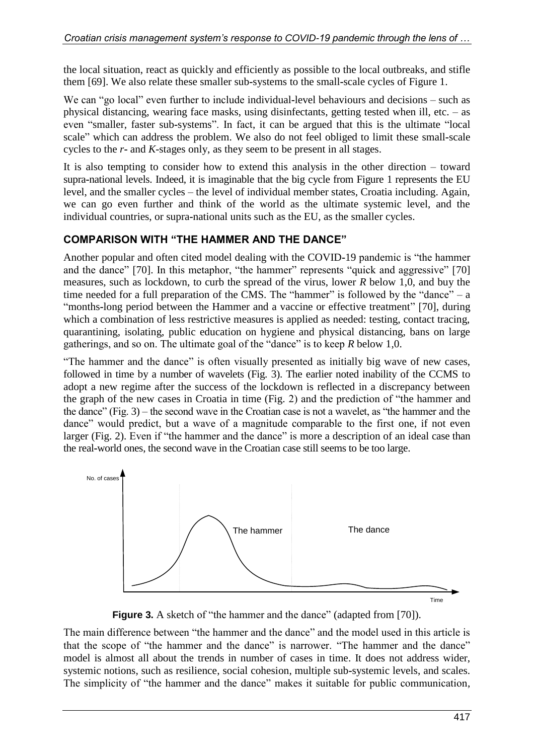the local situation, react as quickly and efficiently as possible to the local outbreaks, and stifle them [69]. We also relate these smaller sub**-**systems to the small**-**scale cycles of Figure 1.

We can "go local" even further to include individual**-**level behaviours and decisions – such as physical distancing, wearing face masks, using disinfectants, getting tested when ill, etc. – as even "smaller, faster sub**-**systems". In fact, it can be argued that this is the ultimate "local scale" which can address the problem. We also do not feel obliged to limit these small**-**scale cycles to the *r***-** and *K-*stages only, as they seem to be present in all stages.

It is also tempting to consider how to extend this analysis in the other direction – toward supra**-**national levels. Indeed, it is imaginable that the big cycle from Figure 1 represents the EU level, and the smaller cycles – the level of individual member states, Croatia including. Again, we can go even further and think of the world as the ultimate systemic level, and the individual countries, or supra**-**national units such as the EU, as the smaller cycles.

#### **COMPARISON WITH "THE HAMMER AND THE DANCE"**

Another popular and often cited model dealing with the COVID**-**19 pandemic is "the hammer and the dance" [70]. In this metaphor, "the hammer" represents "quick and aggressive" [70] measures, such as lockdown, to curb the spread of the virus, lower *R* below 1,0, and buy the time needed for a full preparation of the CMS. The "hammer" is followed by the "dance"  $- a$ "months**-**long period between the Hammer and a vaccine or effective treatment" [70], during which a combination of less restrictive measures is applied as needed: testing, contact tracing, quarantining, isolating, public education on hygiene and physical distancing, bans on large gatherings, and so on. The ultimate goal of the "dance" is to keep *R* below 1,0.

"The hammer and the dance" is often visually presented as initially big wave of new cases, followed in time by a number of wavelets (Fig. 3). The earlier noted inability of the CCMS to adopt a new regime after the success of the lockdown is reflected in a discrepancy between the graph of the new cases in Croatia in time (Fig. 2) and the prediction of "the hammer and the dance" (Fig. 3) – the second wave in the Croatian case is not a wavelet, as "the hammer and the dance" would predict, but a wave of a magnitude comparable to the first one, if not even larger (Fig. 2). Even if "the hammer and the dance" is more a description of an ideal case than the real**-**world ones, the second wave in the Croatian case still seems to be too large.



**Figure 3.** A sketch of "the hammer and the dance" (adapted from [70]).

The main difference between "the hammer and the dance" and the model used in this article is that the scope of "the hammer and the dance" is narrower. "The hammer and the dance" model is almost all about the trends in number of cases in time. It does not address wider, systemic notions, such as resilience, social cohesion, multiple sub**-**systemic levels, and scales. The simplicity of "the hammer and the dance" makes it suitable for public communication,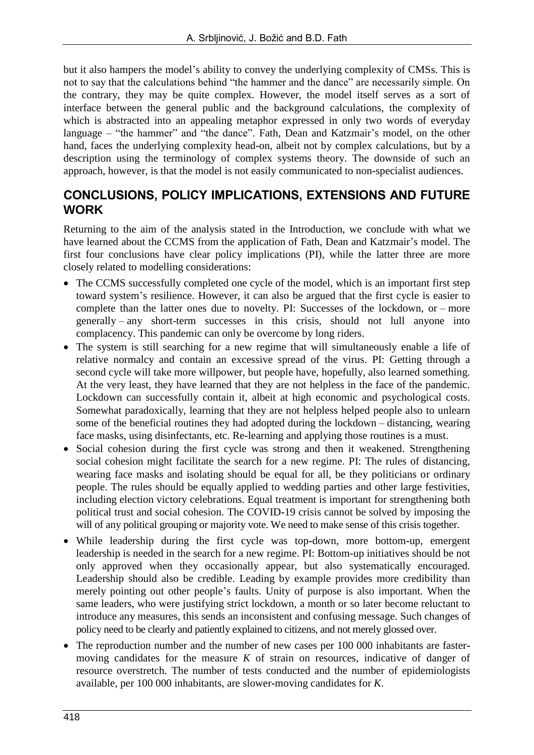but it also hampers the model's ability to convey the underlying complexity of CMSs. This is not to say that the calculations behind "the hammer and the dance" are necessarily simple. On the contrary, they may be quite complex. However, the model itself serves as a sort of interface between the general public and the background calculations, the complexity of which is abstracted into an appealing metaphor expressed in only two words of everyday language – "the hammer" and "the dance". Fath, Dean and Katzmair's model, on the other hand, faces the underlying complexity head**-**on, albeit not by complex calculations, but by a description using the terminology of complex systems theory. The downside of such an approach, however, is that the model is not easily communicated to non**-**specialist audiences.

### **CONCLUSIONS, POLICY IMPLICATIONS, EXTENSIONS AND FUTURE WORK**

Returning to the aim of the analysis stated in the Introduction, we conclude with what we have learned about the CCMS from the application of Fath, Dean and Katzmair's model. The first four conclusions have clear policy implications (PI), while the latter three are more closely related to modelling considerations:

- The CCMS successfully completed one cycle of the model, which is an important first step toward system's resilience. However, it can also be argued that the first cycle is easier to complete than the latter ones due to novelty. PI: Successes of the lockdown, or – more generally – any short-term successes in this crisis, should not lull anyone into complacency. This pandemic can only be overcome by long riders.
- The system is still searching for a new regime that will simultaneously enable a life of relative normalcy and contain an excessive spread of the virus. PI: Getting through a second cycle will take more willpower, but people have, hopefully, also learned something. At the very least, they have learned that they are not helpless in the face of the pandemic. Lockdown can successfully contain it, albeit at high economic and psychological costs. Somewhat paradoxically, learning that they are not helpless helped people also to unlearn some of the beneficial routines they had adopted during the lockdown – distancing, wearing face masks, using disinfectants, etc. Re-learning and applying those routines is a must.
- Social cohesion during the first cycle was strong and then it weakened. Strengthening social cohesion might facilitate the search for a new regime. PI: The rules of distancing, wearing face masks and isolating should be equal for all, be they politicians or ordinary people. The rules should be equally applied to wedding parties and other large festivities, including election victory celebrations. Equal treatment is important for strengthening both political trust and social cohesion. The COVID**-**19 crisis cannot be solved by imposing the will of any political grouping or majority vote. We need to make sense of this crisis together.
- While leadership during the first cycle was top**-**down, more bottom**-**up, emergent leadership is needed in the search for a new regime. PI: Bottom-up initiatives should be not only approved when they occasionally appear, but also systematically encouraged. Leadership should also be credible. Leading by example provides more credibility than merely pointing out other people's faults. Unity of purpose is also important. When the same leaders, who were justifying strict lockdown, a month or so later become reluctant to introduce any measures, this sends an inconsistent and confusing message. Such changes of policy need to be clearly and patiently explained to citizens, and not merely glossed over.
- The reproduction number and the number of new cases per 100 000 inhabitants are fastermoving candidates for the measure  $K$  of strain on resources, indicative of danger of resource overstretch. The number of tests conducted and the number of epidemiologists available, per 100 000 inhabitants, are slower**-**moving candidates for *K*.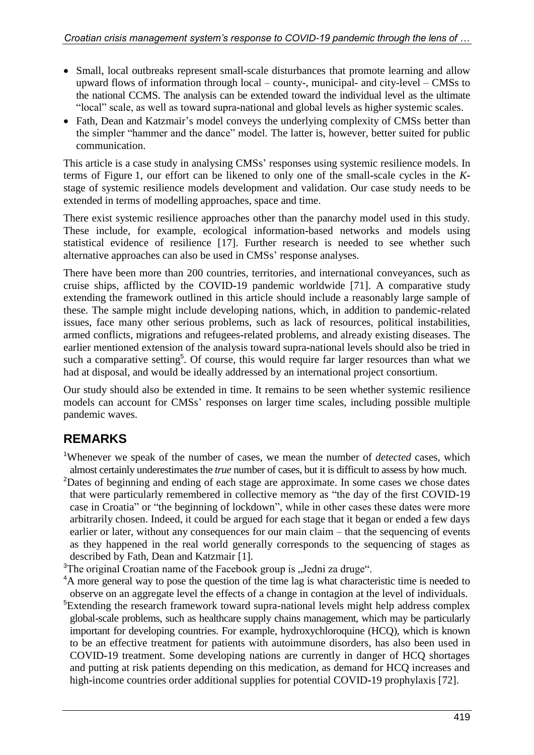- Small, local outbreaks represent small**-**scale disturbances that promote learning and allow upward flows of information through local – county-, municipal- and city-level – CMSs to the national CCMS. The analysis can be extended toward the individual level as the ultimate "local" scale, as well as toward supra**-**national and global levels as higher systemic scales.
- Fath, Dean and Katzmair's model conveys the underlying complexity of CMSs better than the simpler "hammer and the dance" model. The latter is, however, better suited for public communication.

This article is a case study in analysing CMSs' responses using systemic resilience models. In terms of Figure 1, our effort can be likened to only one of the small**-**scale cycles in the *K*stage of systemic resilience models development and validation. Our case study needs to be extended in terms of modelling approaches, space and time.

There exist systemic resilience approaches other than the panarchy model used in this study. These include, for example, ecological information**-**based networks and models using statistical evidence of resilience [17]. Further research is needed to see whether such alternative approaches can also be used in CMSs' response analyses.

There have been more than 200 countries, territories, and international conveyances, such as cruise ships, afflicted by the COVID**-**19 pandemic worldwide [71]. A comparative study extending the framework outlined in this article should include a reasonably large sample of these. The sample might include developing nations, which, in addition to pandemic**-**related issues, face many other serious problems, such as lack of resources, political instabilities, armed conflicts, migrations and refugees**-**related problems, and already existing diseases. The earlier mentioned extension of the analysis toward supra**-**national levels should also be tried in such a comparative setting<sup>5</sup>. Of course, this would require far larger resources than what we had at disposal, and would be ideally addressed by an international project consortium.

Our study should also be extended in time. It remains to be seen whether systemic resilience models can account for CMSs' responses on larger time scales, including possible multiple pandemic waves.

# **REMARKS**

- <sup>1</sup>Whenever we speak of the number of cases, we mean the number of *detected* cases, which almost certainly underestimates the *true* number of cases, but it is difficult to assess by how much.
- <sup>2</sup>Dates of beginning and ending of each stage are approximate. In some cases we chose dates that were particularly remembered in collective memory as "the day of the first COVID-19 case in Croatia" or "the beginning of lockdown", while in other cases these dates were more arbitrarily chosen. Indeed, it could be argued for each stage that it began or ended a few days earlier or later, without any consequences for our main claim – that the sequencing of events as they happened in the real world generally corresponds to the sequencing of stages as described by Fath, Dean and Katzmair [1].
- $3$ The original Croatian name of the Facebook group is "Jedni za druge".
- <sup>4</sup>A more general way to pose the question of the time lag is what characteristic time is needed to observe on an aggregate level the effects of a change in contagion at the level of individuals.
- <sup>5</sup>Extending the research framework toward supra-national levels might help address complex global-scale problems, such as healthcare supply chains management, which may be particularly important for developing countries. For example, hydroxychloroquine (HCQ), which is known to be an effective treatment for patients with autoimmune disorders, has also been used in COVID**-**19 treatment. Some developing nations are currently in danger of HCQ shortages and putting at risk patients depending on this medication, as demand for HCQ increases and high**-**income countries order additional supplies for potential COVID**-**19 prophylaxis [72].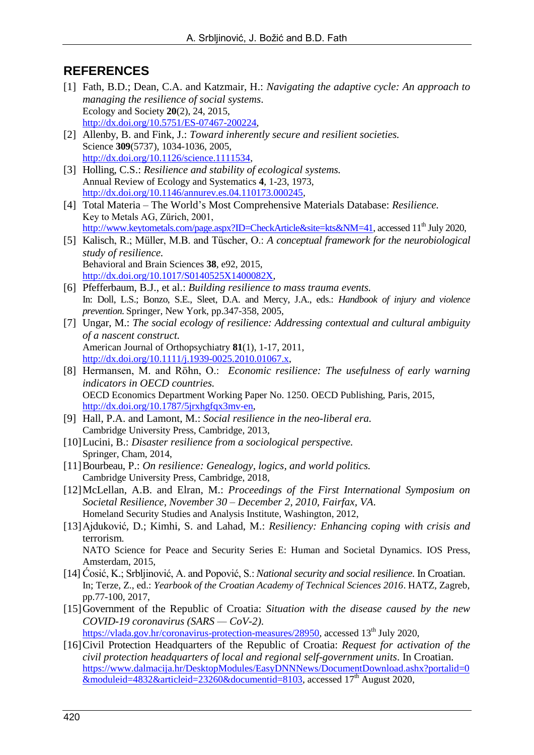### **REFERENCES**

- [1] Fath, B.D.; Dean, C.A. and Katzmair, H.: *Navigating the adaptive cycle: An approach to managing the resilience of social systems*. Ecology and Society **20**(2), 24, 2015, [http://dx.doi.org/10.5751/ES-07467-200224,](http://dx.doi.org/10.5751/ES-07467-200224)
- [2] Allenby, B. and Fink, J.: *Toward inherently secure and resilient societies.* Science **309**(5737), 1034-1036, 2005, [http://dx.doi.org/10.1126/science.1111534,](http://dx.doi.org/10.1126/science.1111534)
- [3] Holling, C.S.: *Resilience and stability of ecological systems.* Annual Review of Ecology and Systematics **4**, 1-23, 1973, [http://dx.doi.org/10.1146/annurev.es.04.110173.000245,](http://dx.doi.org/10.1146/annurev.es.04.110173.000245)
- [4] Total Materia The World's Most Comprehensive Materials Database: *Resilience.* Key to Metals AG, Zürich, 2001, [http://www.keytometals.com/page.aspx?ID=CheckArticle&site=kts&NM=41,](http://www.keytometals.com/page.aspx?ID=CheckArticle&site=kts&NM=41) accessed 11<sup>th</sup> July 2020,
- [5] Kalisch, R.; Müller, M.B. and Tüscher, O.: *A conceptual framework for the neurobiological study of resilience.* Behavioral and Brain Sciences **38**, e92, 2015, [http://dx.doi.org/10.1017/S0140525X1400082X,](http://dx.doi.org/10.1017/S0140525X1400082X)
- [6] Pfefferbaum, B.J., et al.: *Building resilience to mass trauma events.* In: Doll, L.S.; Bonzo, S.E., Sleet, D.A. and Mercy, J.A., eds.: *Handbook of injury and violence prevention*. Springer, New York, pp.347-358, 2005,
- [7] Ungar, M.: *The social ecology of resilience: Addressing contextual and cultural ambiguity of a nascent construct.* American Journal of Orthopsychiatry **81**(1), 1-17, 2011, [http://dx.doi.org/10.1111/j.1939-0025.2010.01067.x,](http://dx.doi.org/10.1111/j.1939-0025.2010.01067.x)
- [8] Hermansen, M. and Röhn, O.: *Economic resilience: The usefulness of early warning indicators in OECD countries.*  OECD Economics Department Working Paper No. 1250. OECD Publishing, Paris, 2015, [http://dx.doi.org/10.1787/5jrxhgfqx3mv-en,](http://dx.doi.org/10.1787/5jrxhgfqx3mv-en)
- [9] Hall, P.A. and Lamont, M.: *Social resilience in the neo-liberal era.* Cambridge University Press, Cambridge, 2013,
- [10]Lucini, B.: *Disaster resilience from a sociological perspective.* Springer, Cham, 2014,
- [11]Bourbeau, P.: *On resilience: Genealogy, logics, and world politics.* Cambridge University Press, Cambridge, 2018,
- [12]McLellan, A.B. and Elran, M.: *Proceedings of the First International Symposium on Societal Resilience, November 30 – December 2, 2010, Fairfax, VA*. Homeland Security Studies and Analysis Institute, Washington, 2012,
- [13]Ajduković, D.; Kimhi, S. and Lahad, M.: *Resiliency: Enhancing coping with crisis and*  terrorism*.* NATO Science for Peace and Security Series E: Human and Societal Dynamics. IOS Press, Amsterdam, 2015,
- [14] Ćosić, K.; Srbljinović, A. and Popović, S.: *National security and social resilience*. In Croatian. In; Terze, Z., ed.: *Yearbook of the Croatian Academy of Technical Sciences 2016*. HATZ, Zagreb, pp.77-100, 2017,
- [15]Government of the Republic of Croatia: *Situation with the disease caused by the new COVID-19 coronavirus (SARS — CoV-2)*.

[https://vlada.gov.hr/coronavirus-protection-measures/28950,](https://vlada.gov.hr/coronavirus-protection-measures/28950) accessed 13<sup>th</sup> July 2020,

[16]Civil Protection Headquarters of the Republic of Croatia: *Request for activation of the civil protection headquarters of local and regional self-government units*. In Croatian. [https://www.dalmacija.hr/DesktopModules/EasyDNNNews/DocumentDownload.ashx?portalid=0](https://www.dalmacija.hr/DesktopModules/EasyDNNNews/DocumentDownload.ashx?portalid=0&moduleid=4832&articleid=23260&documentid=8103)  $&$ moduleid=4832 $&$ articleid=23260 $&$ documentid=8103, accessed 17<sup>th</sup> August 2020,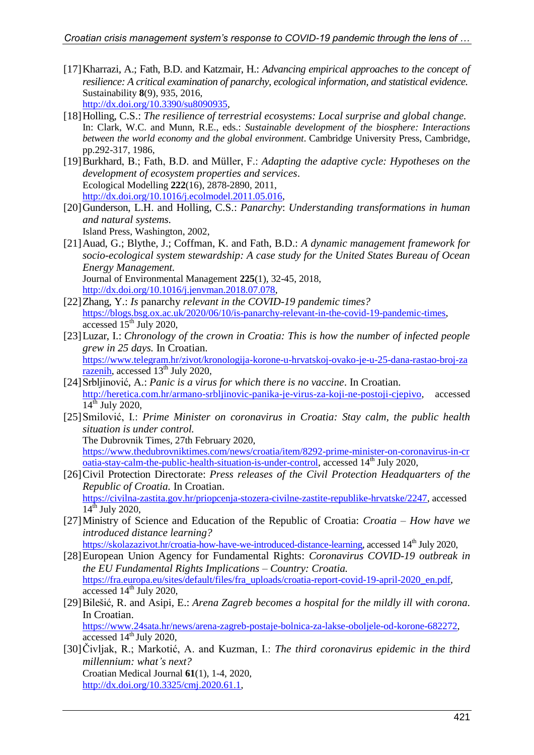- [17]Kharrazi, A.; Fath, B.D. and Katzmair, H.: *Advancing empirical approaches to the concept of resilience: A critical examination of panarchy, ecological information, and statistical evidence.* Sustainability **8**(9), 935, 2016, [http://dx.doi.org/10.3390/su8090935,](http://dx.doi.org/10.3390/su8090935)
- [18]Holling, C.S.: *The resilience of terrestrial ecosystems: Local surprise and global change.* In: Clark, W.C. and Munn, R.E., eds.: *Sustainable development of the biosphere: Interactions between the world economy and the global environment*. Cambridge University Press, Cambridge, pp.292-317, 1986,
- [19]Burkhard, B.; Fath, B.D. and Müller, F.: *Adapting the adaptive cycle: Hypotheses on the development of ecosystem properties and services*. Ecological Modelling **222**(16), 2878-2890, 2011, [http://dx.doi.org/10.1016/j.ecolmodel.2011.05.016,](http://dx.doi.org/10.1016/j.ecolmodel.2011.05.016)
- [20]Gunderson, L.H. and Holling, C.S.: *Panarchy*: *Understanding transformations in human and natural systems.* Island Press, Washington, 2002,
- [21]Auad, G.; Blythe, J.; Coffman, K. and Fath, B.D.: *A dynamic management framework for socio-ecological system stewardship: A case study for the United States Bureau of Ocean Energy Management.* Journal of Environmental Management **225**(1), 32-45, 2018, [http://dx.doi.org/10.1016/j.jenvman.2018.07.078,](http://dx.doi.org/10.1016/j.jenvman.2018.07.078)
- [22]Zhang, Y.: *Is* panarchy *relevant in the COVID-19 pandemic times?* [https://blogs.bsg.ox.ac.uk/2020/06/10/is-panarchy-relevant-in-the-covid-19-pandemic-times,](https://blogs.bsg.ox.ac.uk/2020/06/10/is-panarchy-relevant-in-the-covid-19-pandemic-times) accessed  $15<sup>th</sup>$  July 2020,
- [23]Luzar, I.: *Chronology of the crown in Croatia: This is how the number of infected people grew in 25 days.* In Croatian. [https://www.telegram.hr/zivot/kronologija-korone-u-hrvatskoj-ovako-je-u-25-dana-rastao-broj-za](https://www.telegram.hr/zivot/kronologija-korone-u-hrvatskoj-ovako-je-u-25-dana-rastao-broj-zarazenih) [razenih,](https://www.telegram.hr/zivot/kronologija-korone-u-hrvatskoj-ovako-je-u-25-dana-rastao-broj-zarazenih) accessed 13<sup>th</sup> July 2020,
- [24]Srbljinović, A.: *Panic is a virus for which there is no vaccine*. In Croatian. [http://heretica.com.hr/armano-srbljinovic-panika-je-virus-za-koji-ne-postoji-cjepivo,](http://heretica.com.hr/armano-srbljinovic-panika-je-virus-za-koji-ne-postoji-cjepivo) accessed  $14^{th}$  July 2020,
- [25]Smilović, I.: *Prime Minister on coronavirus in Croatia: Stay calm, the public health situation is under control.* The Dubrovnik Times, 27th February 2020, [https://www.thedubrovniktimes.com/news/croatia/item/8292-prime-minister-on-coronavirus-in-cr](https://www.thedubrovniktimes.com/news/croatia/item/8292-prime-minister-on-coronavirus-in-croatia-stay-calm-the-public-health-situation-is-under-control) [oatia-stay-calm-the-public-health-situation-is-under-control,](https://www.thedubrovniktimes.com/news/croatia/item/8292-prime-minister-on-coronavirus-in-croatia-stay-calm-the-public-health-situation-is-under-control) accessed  $14<sup>th</sup>$  July 2020,
- [26]Civil Protection Directorate: *Press releases of the Civil Protection Headquarters of the Republic of Croatia.* In Croatian. [https://civilna-zastita.gov.hr/priopcenja-stozera-civilne-zastite-republike-hrvatske/2247,](https://civilna-zastita.gov.hr/priopcenja-stozera-civilne-zastite-republike-hrvatske/2247) accessed  $14^{\text{th}}$  July 2020,
- [27]Ministry of Science and Education of the Republic of Croatia: *Croatia – How have we introduced distance learning?*
	- [https://skolazazivot.hr/croatia-how-have-we-introduced-distance-learning,](https://skolazazivot.hr/croatia-how-have-we-introduced-distance-learning) accessed 14<sup>th</sup> July 2020,
- [28]European Union Agency for Fundamental Rights: *Coronavirus COVID-19 outbreak in the EU Fundamental Rights Implications – Country: Croatia.* [https://fra.europa.eu/sites/default/files/fra\\_uploads/croatia-report-covid-19-april-2020\\_en.pdf,](https://fra.europa.eu/sites/default/files/fra_uploads/croatia-report-covid-19-april-2020_en.pdf) accessed  $14<sup>th</sup>$  July 2020,
- [29]Bilešić, R. and Asipi, E.: *Arena Zagreb becomes a hospital for the mildly ill with corona.* In Croatian. [https://www.24sata.hr/news/arena-zagreb-postaje-bolnica-za-lakse-oboljele-od-korone-682272,](https://www.24sata.hr/news/arena-zagreb-postaje-bolnica-za-lakse-oboljele-od-korone-682272) accessed  $14<sup>th</sup>$  July 2020,
- [30]Čivljak, R.; Markotić, A. and Kuzman, I.: *The third coronavirus epidemic in the third millennium: what's next?* Croatian Medical Journal **61**(1), 1-4, 2020, [http://dx.doi.org/10.3325/cmj.2020.61.1,](http://dx.doi.org/10.3325/cmj.2020.61.1)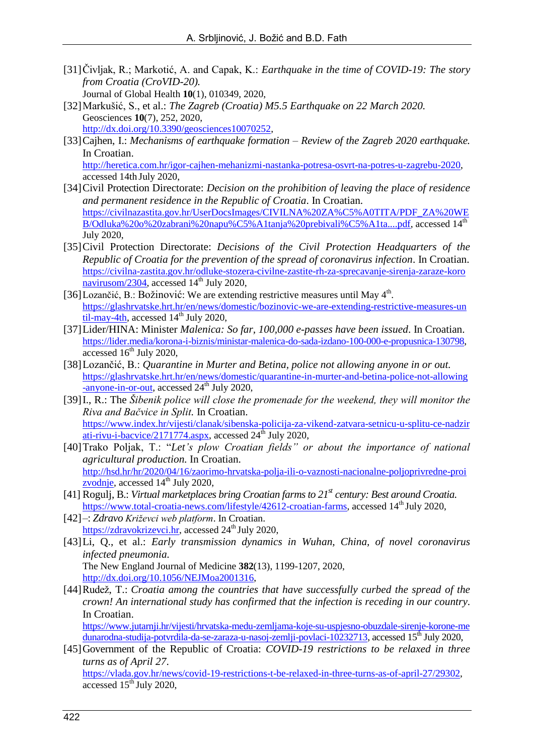- [31]Čivljak, R.; Markotić, A. and Capak, K.: *Earthquake in the time of COVID-19: The story from Croatia (CroVID-20).* Journal of Global Health **10**(1), 010349, 2020,
- [32]Markušić, S., et al.: *The Zagreb (Croatia) M5.5 Earthquake on 22 March 2020.* Geosciences **10**(7), 252, 2020, [http://dx.doi.org/10.3390/geosciences10070252,](http://dx.doi.org/10.3390/geosciences10070252)
- [33]Cajhen, I.: *Mechanisms of earthquake formation – Review of the Zagreb 2020 earthquake.* In Croatian. [http://heretica.com.hr/igor-cajhen-mehanizmi-nastanka-potresa-osvrt-na-potres-u-zagrebu-2020,](http://heretica.com.hr/igor-cajhen-mehanizmi-nastanka-potresa-osvrt-na-potres-u-zagrebu-2020) accessed 14th July 2020,
- [34]Civil Protection Directorate: *Decision on the prohibition of leaving the place of residence and permanent residence in the Republic of Croatia*. In Croatian. [https://civilnazastita.gov.hr/UserDocsImages/CIVILNA%20ZA%C5%A0TITA/PDF\\_ZA%20WE](https://civilnazastita.gov.hr/UserDocsImages/CIVILNA%20ZA%C5%A0TITA/PDF_ZA%20WEB/Odluka%20o%20zabrani%20napu%C5%A1tanja%20prebivali%C5%A1ta....pdf) [B/Odluka%20o%20zabrani%20napu%C5%A1tanja%20prebivali%C5%A1ta....pdf,](https://civilnazastita.gov.hr/UserDocsImages/CIVILNA%20ZA%C5%A0TITA/PDF_ZA%20WEB/Odluka%20o%20zabrani%20napu%C5%A1tanja%20prebivali%C5%A1ta....pdf) accessed 14<sup>th</sup> July 2020,
- [35]Civil Protection Directorate: *Decisions of the Civil Protection Headquarters of the Republic of Croatia for the prevention of the spread of coronavirus infection*. In Croatian. [https://civilna-zastita.gov.hr/odluke-stozera-civilne-zastite-rh-za-sprecavanje-sirenja-zaraze-koro](https://civilna-zastita.gov.hr/odluke-stozera-civilne-zastite-rh-za-sprecavanje-sirenja-zaraze-koronavirusom/2304) [navirusom/2304,](https://civilna-zastita.gov.hr/odluke-stozera-civilne-zastite-rh-za-sprecavanje-sirenja-zaraze-koronavirusom/2304) accessed 14<sup>th</sup> July 2020,
- [36] Lozančić, B.: Božinović: We are extending restrictive measures until May  $4<sup>th</sup>$ . [https://glashrvatske.hrt.hr/en/news/domestic/bozinovic-we-are-extending-restrictive-measures-un](https://glashrvatske.hrt.hr/en/news/domestic/bozinovic-we-are-extending-restrictive-measures-until-may-4th) [til-may-4th,](https://glashrvatske.hrt.hr/en/news/domestic/bozinovic-we-are-extending-restrictive-measures-until-may-4th) accessed  $14<sup>th</sup>$  July 2020,
- [37]Lider/HINA: Minister *Malenica: So far, 100,000 e-passes have been issued*. In Croatian. [https://lider.media/korona-i-biznis/ministar-malenica-do-sada-izdano-100-000-e-propusnica-130798,](https://lider.media/korona-i-biznis/ministar-malenica-do-sada-izdano-100-000-e-propusnica-130798) accessed  $16<sup>th</sup>$  July 2020,
- [38]Lozančić, B.: *Quarantine in Murter and Betina, police not allowing anyone in or out.* [https://glashrvatske.hrt.hr/en/news/domestic/quarantine-in-murter-and-betina-police-not-allowing](https://glashrvatske.hrt.hr/en/news/domestic/quarantine-in-murter-and-betina-police-not-allowing-anyone-in-or-out)  $\frac{1}{2}$ [-anyone-in-or-out,](https://glashrvatske.hrt.hr/en/news/domestic/quarantine-in-murter-and-betina-police-not-allowing-anyone-in-or-out) accessed 24<sup>th</sup> July 2020,
- [39] I., R.: The *Šibenik police will close the promenade for the weekend, they will monitor the Riva and Bačvice in Split.* In Croatian. [https://www.index.hr/vijesti/clanak/sibenska-policija-za-vikend-zatvara-setnicu-u-splitu-ce-nadzir](https://www.index.hr/vijesti/clanak/sibenska-policija-za-vikend-zatvara-setnicu-u-splitu-ce-nadzirati-rivu-i-bacvice/2171774.aspx) [ati-rivu-i-bacvice/2171774.aspx,](https://www.index.hr/vijesti/clanak/sibenska-policija-za-vikend-zatvara-setnicu-u-splitu-ce-nadzirati-rivu-i-bacvice/2171774.aspx) accessed  $24<sup>th</sup>$  July 2020,
- [40]Trako Poljak, T.: "*Let's plow Croatian fields" or about the importance of national agricultural production.* In Croatian. [http://hsd.hr/hr/2020/04/16/zaorimo-hrvatska-polja-ili-o-vaznosti-nacionalne-poljoprivredne-proi](http://hsd.hr/hr/2020/04/16/zaorimo-hrvatska-polja-ili-o-vaznosti-nacionalne-poljoprivredne-proizvodnje) [zvodnje,](http://hsd.hr/hr/2020/04/16/zaorimo-hrvatska-polja-ili-o-vaznosti-nacionalne-poljoprivredne-proizvodnje) accessed  $14<sup>th</sup>$  July 2020,
- [41] Rogulj, B.: *Virtual marketplaces bring Croatian farms to 21st century: Best around Croatia.* [https://www.total-croatia-news.com/lifestyle/42612-croatian-farms,](https://www.total-croatia-news.com/lifestyle/42612-croatian-farms) accessed 14<sup>th</sup> July 2020,
- [42]–: *Zdravo Križevci web platform*. In Croatian. [https://zdravokrizevci.hr,](https://zdravokrizevci.hr/) accessed  $24<sup>th</sup>$  July 2020,
- [43]Li, Q., et al.: *Early transmission dynamics in Wuhan, China, of novel coronavirus infected pneumonia.* The New England Journal of Medicine **382**(13), 1199-1207, 2020, [http://dx.doi.org/10.1056/NEJMoa2001316,](http://dx.doi.org/10.1056/NEJMoa2001316)
- [44]Rudež, T.: *Croatia among the countries that have successfully curbed the spread of the crown! An international study has confirmed that the infection is receding in our country*. In Croatian.

[https://www.jutarnji.hr/vijesti/hrvatska-medu-zemljama-koje-su-uspjesno-obuzdale-sirenje-korone-me](https://www.jutarnji.hr/vijesti/hrvatska-medu-zemljama-koje-su-uspjesno-obuzdale-sirenje-korone-medunarodna-studija-potvrdila-da-se-zaraza-u-nasoj-zemlji-povlaci-10232713) [dunarodna-studija-potvrdila-da-se-zaraza-u-nasoj-zemlji-povlaci-10232713,](https://www.jutarnji.hr/vijesti/hrvatska-medu-zemljama-koje-su-uspjesno-obuzdale-sirenje-korone-medunarodna-studija-potvrdila-da-se-zaraza-u-nasoj-zemlji-povlaci-10232713) accessed 15<sup>th</sup> July 2020,

[45]Government of the Republic of Croatia: *COVID-19 restrictions to be relaxed in three turns as of April 27*. [https://vlada.gov.hr/news/covid-19-restrictions-t-be-relaxed-in-three-turns-as-of-april-27/29302,](https://vlada.gov.hr/news/covid-19-restrictions-t-be-relaxed-in-three-turns-as-of-april-27/29302) accessed  $15<sup>th</sup>$  July 2020,

422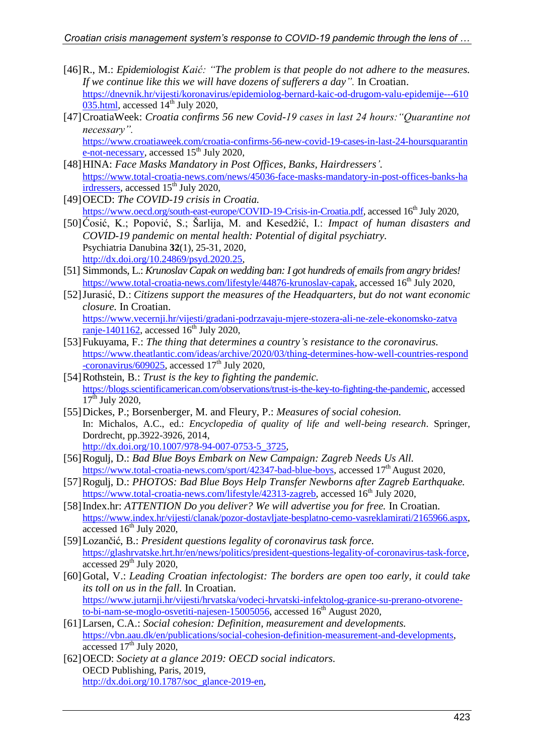- [46]R., M.: *Epidemiologist Kaić: "The problem is that people do not adhere to the measures. If we continue like this we will have dozens of sufferers a day".* In Croatian. [https://dnevnik.hr/vijesti/koronavirus/epidemiolog-bernard-kaic-od-drugom-valu-epidemije---610](https://dnevnik.hr/vijesti/koronavirus/epidemiolog-bernard-kaic-od-drugom-valu-epidemije---610035.html)  $035.html$ , accessed  $14<sup>th</sup>$  July 2020,
- [47]CroatiaWeek: *Croatia confirms 56 new Covid-19 cases in last 24 hours:"Quarantine not necessary".*

[https://www.croatiaweek.com/croatia-confirms-56-new-covid-19-cases-in-last-24-hoursquarantin](https://www.croatiaweek.com/croatia-confirms-56-new-covid-19-cases-in-last-24-hoursquarantine-not-necessary) [e-not-necessary,](https://www.croatiaweek.com/croatia-confirms-56-new-covid-19-cases-in-last-24-hoursquarantine-not-necessary) accessed  $15<sup>th</sup>$  July 2020,

- [48]HINA: *Face Masks Mandatory in Post Offices, Banks, Hairdressers'.* [https://www.total-croatia-news.com/news/45036-face-masks-mandatory-in-post-offices-banks-ha](https://www.total-croatia-news.com/news/45036-face-masks-mandatory-in-post-offices-banks-hairdressers) [irdressers,](https://www.total-croatia-news.com/news/45036-face-masks-mandatory-in-post-offices-banks-hairdressers) accessed 15<sup>th</sup> July 2020,
- [49]OECD: *The COVID-19 crisis in Croatia.* [https://www.oecd.org/south-east-europe/COVID-19-Crisis-in-Croatia.pdf,](https://www.oecd.org/south-east-europe/COVID-19-Crisis-in-Croatia.pdf) accessed 16<sup>th</sup> July 2020,
- [50]Ćosić, K.; Popović, S.; Šarlija, M. and Kesedžić, I.: *Impact of human disasters and COVID-19 pandemic on mental health: Potential of digital psychiatry.* Psychiatria Danubina **32**(1), 25-31, 2020, [http://dx.doi.org/10.24869/psyd.2020.25,](http://dx.doi.org/10.24869/psyd.2020.25)
- [51] Simmonds, L.: *Krunoslav Capak on wedding ban: I got hundreds of emails from angry brides!* [https://www.total-croatia-news.com/lifestyle/44876-krunoslav-capak,](https://www.total-croatia-news.com/lifestyle/44876-krunoslav-capak) accessed 16<sup>th</sup> July 2020,
- [52]Jurasić, D.: *Citizens support the measures of the Headquarters, but do not want economic closure.* In Croatian. [https://www.vecernji.hr/vijesti/gradani-podrzavaju-mjere-stozera-ali-ne-zele-ekonomsko-zatva](https://www.vecernji.hr/vijesti/gradani-podrzavaju-mjere-stozera-ali-ne-zele-ekonomsko-zatvaranje-1401162) [ranje-1401162,](https://www.vecernji.hr/vijesti/gradani-podrzavaju-mjere-stozera-ali-ne-zele-ekonomsko-zatvaranje-1401162) accessed  $16<sup>th</sup>$  July 2020,
- [53]Fukuyama, F.: *The thing that determines a country's resistance to the coronavirus.* [https://www.theatlantic.com/ideas/archive/2020/03/thing-determines-how-well-countries-respond](https://www.theatlantic.com/ideas/archive/2020/03/thing-determines-how-well-countries-respond-coronavirus/609025)  $-$ coronavirus/609025, accessed 17<sup>th</sup> July 2020,
- [54]Rothstein, B.: *Trust is the key to fighting the pandemic.* [https://blogs.scientificamerican.com/observations/trust-is-the-key-to-fighting-the-pandemic,](https://blogs.scientificamerican.com/observations/trust-is-the-key-to-fighting-the-pandemic) accessed  $17^{\text{th}}$  July 2020,
- [55]Dickes, P.; Borsenberger, M. and Fleury, P.: *Measures of social cohesion.* In: Michalos, A.C., ed.: *Encyclopedia of quality of life and well-being research*. Springer, Dordrecht, pp.3922-3926, 2014, [http://dx.doi.org/10.1007/978-94-007-0753-5\\_3725,](http://dx.doi.org/10.1007/978-94-007-0753-5_3725)
- [56]Rogulj, D.: *Bad Blue Boys Embark on New Campaign: Zagreb Needs Us All.* [https://www.total-croatia-news.com/sport/42347-bad-blue-boys,](https://www.total-croatia-news.com/sport/42347-bad-blue-boys) accessed  $17<sup>th</sup>$  August 2020,
- [57]Rogulj, D.: *PHOTOS: Bad Blue Boys Help Transfer Newborns after Zagreb Earthquake.* [https://www.total-croatia-news.com/lifestyle/42313-zagreb,](https://www.total-croatia-news.com/lifestyle/42313-zagreb) accessed 16<sup>th</sup> July 2020,
- [58]Index.hr: *ATTENTION Do you deliver? We will advertise you for free.* In Croatian. [https://www.index.hr/vijesti/clanak/pozor-dostavljate-besplatno-cemo-vasreklamirati/2165966.aspx,](https://www.index.hr/vijesti/clanak/pozor-dostavljate-besplatno-cemo-vasreklamirati/2165966.aspx) accessed  $16<sup>th</sup>$  July 2020,
- [59]Lozančić, B.: *President questions legality of coronavirus task force.* [https://glashrvatske.hrt.hr/en/news/politics/president-questions-legality-of-coronavirus-task-force,](https://glashrvatske.hrt.hr/en/news/politics/president-questions-legality-of-coronavirus-task-force) accessed 29<sup>th</sup> July 2020,
- [60]Gotal, V.: *Leading Croatian infectologist: The borders are open too early, it could take its toll on us in the fall.* In Croatian. [https://www.jutarnji.hr/vijesti/hrvatska/vodeci-hrvatski-infektolog-granice-su-prerano-otvorene](https://www.jutarnji.hr/vijesti/hrvatska/vodeci-hrvatski-infektolog-granice-su-prerano-otvorene-to-bi-nam-se-moglo-osvetiti-najesen-15005056)[to-bi-nam-se-moglo-osvetiti-najesen-15005056,](https://www.jutarnji.hr/vijesti/hrvatska/vodeci-hrvatski-infektolog-granice-su-prerano-otvorene-to-bi-nam-se-moglo-osvetiti-najesen-15005056) accessed 16<sup>th</sup> August 2020,
- [61]Larsen, C.A.: *Social cohesion: Definition, measurement and developments.* [https://vbn.aau.dk/en/publications/social-cohesion-definition-measurement-and-developments,](https://vbn.aau.dk/en/publications/social-cohesion-definition-measurement-and-developments) accessed  $17<sup>th</sup>$  July 2020,
- [62]OECD: *Society at a glance 2019: OECD social indicators.* OECD Publishing, Paris, 2019, [http://dx.doi.org/10.1787/soc\\_glance-2019-en,](http://dx.doi.org/10.1787/soc_glance-2019-en)